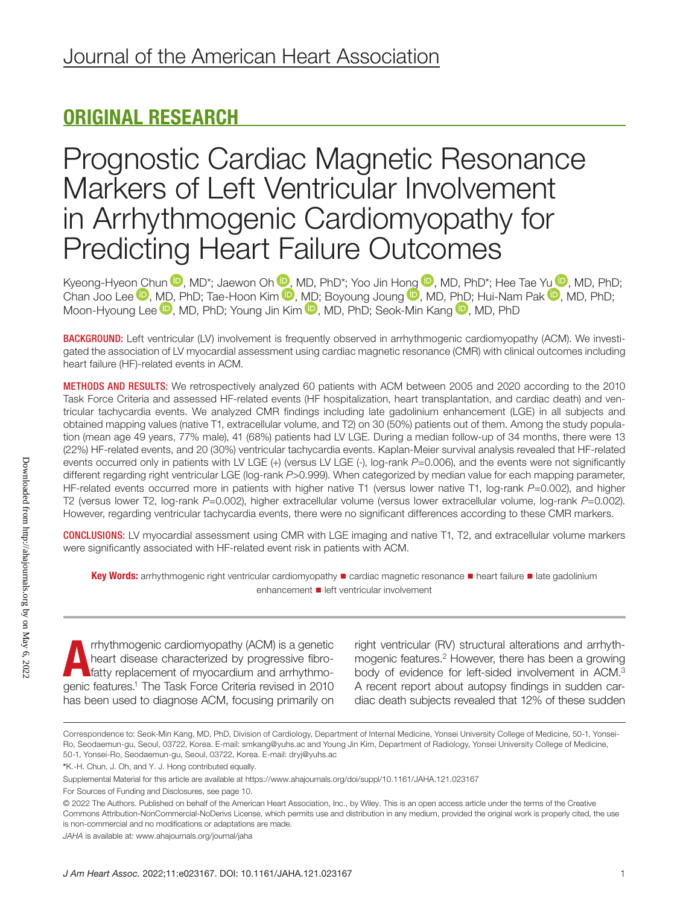### ORIGINAL RESEARCH

## Prognostic Cardiac Magnetic Resonance Markers of Left Ventricular Involvement in Arrhythmogenic Cardiomyopathy for Predicting Heart Failure Outcomes

Kyeong-Hyeo[n Ch](https://orcid.org/0000-0002-8756-409X)un <sup>10</sup>[,](https://orcid.org/0000-0002-6835-4759) [M](https://orcid.org/0000-0003-4200-3456)D\*; Jaewon Oh <sup>10</sup>, MD, PhD\*; Yoo Jin H[ong](https://orcid.org/0000-0001-9036-7225) <sup>10</sup>, MD, PhD\*; Hee Tae [Yu](https://orcid.org/0000-0002-3256-3620) <sup>10</sup>, MD, PhD; Chan Joo Lee V, [MD,](https://orcid.org/0000-0002-7268-0741) PhD; Tae-Hoon Kim V, [MD;](https://orcid.org/0000-0002-6235-6550) Boyoung Joung V, MD, [PhD](https://orcid.org/0000-0001-9856-9227); Hui-Nam Pak V, MD, PhD; Moon-Hyoung Lee  $\mathbf{D}$ , MD, PhD; Young Jin Kim  $\mathbf{D}$ , MD, PhD; Seok-Min Kang  $\mathbf{D}$ , MD, PhD

BACKGROUND: Left ventricular (LV) involvement is frequently observed in arrhythmogenic cardiomyopathy (ACM). We investigated the association of LV myocardial assessment using cardiac magnetic resonance (CMR) with clinical outcomes including heart failure (HF)-related events in ACM.

METHODS AND RESULTS: We retrospectively analyzed 60 patients with ACM between 2005 and 2020 according to the 2010 Task Force Criteria and assessed HF-related events (HF hospitalization, heart transplantation, and cardiac death) and ventricular tachycardia events. We analyzed CMR findings including late gadolinium enhancement (LGE) in all subjects and obtained mapping values (native T1, extracellular volume, and T2) on 30 (50%) patients out of them. Among the study population (mean age 49 years, 77% male), 41 (68%) patients had LV LGE. During a median follow-up of 34 months, there were 13 (22%) HF-related events, and 20 (30%) ventricular tachycardia events. Kaplan-Meier survival analysis revealed that HF-related events occurred only in patients with LV LGE (+) (versus LV LGE (-), log-rank *P*=0.006), and the events were not significantly different regarding right ventricular LGE (log-rank *P*>0.999). When categorized by median value for each mapping parameter, HF-related events occurred more in patients with higher native T1 (versus lower native T1, log-rank *P*=0.002), and higher T2 (versus lower T2, log-rank *P*=0.002), higher extracellular volume (versus lower extracellular volume, log-rank *P*=0.002). However, regarding ventricular tachycardia events, there were no significant differences according to these CMR markers.

CONCLUSIONS: LV myocardial assessment using CMR with LGE imaging and native T1, T2, and extracellular volume markers were significantly associated with HF-related event risk in patients with ACM.

Key Words: arrhythmogenic right ventricular cardiomyopathy ■ cardiac magnetic resonance ■ heart failure ■ late gadolinium enhancement ■ left ventricular involvement

A rrhythmogenic cardiomyopathy (ACM) is a genetic<br>heart disease characterized by progressive fibro-<br>fatty replacement of myocardium and arrhythmo-<br>genic features.<sup>1</sup> The Task Force Criteria revised in 2010 rrhythmogenic cardiomyopathy (ACM) is a genetic heart disease characterized by progressive fibrofatty replacement of myocardium and arrhythmohas been used to diagnose ACM, focusing primarily on

right ventricular (RV) structural alterations and arrhythmogenic features.2 However, there has been a growing body of evidence for left-sided involvement in ACM.3 A recent report about autopsy findings in sudden cardiac death subjects revealed that 12% of these sudden

Correspondence to: Seok-Min Kang, MD, PhD, Division of Cardiology, Department of Internal Medicine, Yonsei University College of Medicine, 50-1, Yonsei-Ro, Seodaemun-gu, Seoul, 03722, Korea. E-mail: [smkang@yuhs.ac](mailto:smkang@yuhs.ac) and Young Jin Kim, Department of Radiology, Yonsei University College of Medicine, 50-1, Yonsei-Ro, Seodaemun-gu, Seoul, 03722, Korea. E-mail: [dryj@yuhs.ac](mailto:dryj@yuhs.ac)

<sup>\*</sup>K.-H. Chun, J. Oh, and Y. J. Hong contributed equally.

Supplemental Material for this article are available at<https://www.ahajournals.org/doi/suppl/10.1161/JAHA.121.023167>

For Sources of Funding and Disclosures, see page 10.

<sup>© 2022</sup> The Authors. Published on behalf of the American Heart Association, Inc., by Wiley. This is an open access article under the terms of the [Creative](http://creativecommons.org/licenses/by-nc-nd/4.0/)  [Commons Attribution-NonCommercial-NoDerivs](http://creativecommons.org/licenses/by-nc-nd/4.0/) License, which permits use and distribution in any medium, provided the original work is properly cited, the use is non-commercial and no modifications or adaptations are made.

*JAHA* is available at: [www.ahajournals.org/journal/jaha](https://www.ahajournals.org/journal/jaha)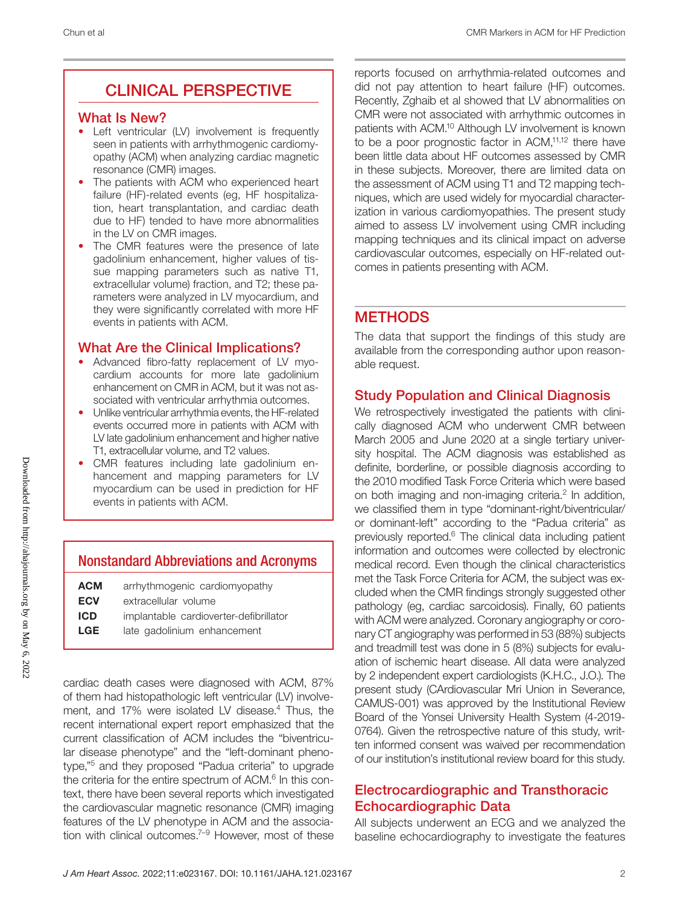### CLINICAL PERSPECTIVE

### What Is New?

- Left ventricular (LV) involvement is frequently seen in patients with arrhythmogenic cardiomyopathy (ACM) when analyzing cardiac magnetic resonance (CMR) images.
- The patients with ACM who experienced heart failure (HF)-related events (eg, HF hospitalization, heart transplantation, and cardiac death due to HF) tended to have more abnormalities in the LV on CMR images.
- The CMR features were the presence of late gadolinium enhancement, higher values of tissue mapping parameters such as native T1, extracellular volume) fraction, and T2; these parameters were analyzed in LV myocardium, and they were significantly correlated with more HF events in patients with ACM.

### What Are the Clinical Implications?

- Advanced fibro-fatty replacement of LV myocardium accounts for more late gadolinium enhancement on CMR in ACM, but it was not associated with ventricular arrhythmia outcomes.
- Unlike ventricular arrhythmia events, the HF-related events occurred more in patients with ACM with LV late gadolinium enhancement and higher native T1, extracellular volume, and T2 values.
- CMR features including late gadolinium enhancement and mapping parameters for LV myocardium can be used in prediction for HF events in patients with ACM.

### Nonstandard Abbreviations and Acronyms

| ACM |  | arrhythmogenic cardiomyopathy |
|-----|--|-------------------------------|
|-----|--|-------------------------------|

- **ECV** extracellular volume
- ICD implantable cardioverter-defibrillator
- LGE late gadolinium enhancement

cardiac death cases were diagnosed with ACM, 87% of them had histopathologic left ventricular (LV) involvement, and 17% were isolated LV disease.<sup>4</sup> Thus, the recent international expert report emphasized that the current classification of ACM includes the "biventricular disease phenotype" and the "left-dominant phenotype,"5 and they proposed "Padua criteria" to upgrade the criteria for the entire spectrum of ACM.<sup>6</sup> In this context, there have been several reports which investigated the cardiovascular magnetic resonance (CMR) imaging features of the LV phenotype in ACM and the association with clinical outcomes.<sup>7-9</sup> However, most of these

reports focused on arrhythmia-related outcomes and did not pay attention to heart failure (HF) outcomes. Recently, Zghaib et al showed that LV abnormalities on CMR were not associated with arrhythmic outcomes in patients with ACM.10 Although LV involvement is known to be a poor prognostic factor in ACM,<sup>11,12</sup> there have been little data about HF outcomes assessed by CMR in these subjects. Moreover, there are limited data on the assessment of ACM using T1 and T2 mapping techniques, which are used widely for myocardial characterization in various cardiomyopathies. The present study aimed to assess LV involvement using CMR including mapping techniques and its clinical impact on adverse cardiovascular outcomes, especially on HF-related outcomes in patients presenting with ACM.

### **METHODS**

The data that support the findings of this study are available from the corresponding author upon reasonable request.

### Study Population and Clinical Diagnosis

We retrospectively investigated the patients with clinically diagnosed ACM who underwent CMR between March 2005 and June 2020 at a single tertiary university hospital. The ACM diagnosis was established as definite, borderline, or possible diagnosis according to the 2010 modified Task Force Criteria which were based on both imaging and non-imaging criteria.<sup>2</sup> In addition, we classified them in type "dominant-right/biventricular/ or dominant-left" according to the "Padua criteria" as previously reported.<sup>6</sup> The clinical data including patient information and outcomes were collected by electronic medical record. Even though the clinical characteristics met the Task Force Criteria for ACM, the subject was excluded when the CMR findings strongly suggested other pathology (eg, cardiac sarcoidosis). Finally, 60 patients with ACM were analyzed. Coronary angiography or coronary CT angiography was performed in 53 (88%) subjects and treadmill test was done in 5 (8%) subjects for evaluation of ischemic heart disease. All data were analyzed by 2 independent expert cardiologists (K.H.C., J.O.). The present study (CArdiovascular Mri Union in Severance, CAMUS-001) was approved by the Institutional Review Board of the Yonsei University Health System (4-2019- 0764). Given the retrospective nature of this study, written informed consent was waived per recommendation of our institution's institutional review board for this study.

### Electrocardiographic and Transthoracic Echocardiographic Data

All subjects underwent an ECG and we analyzed the baseline echocardiography to investigate the features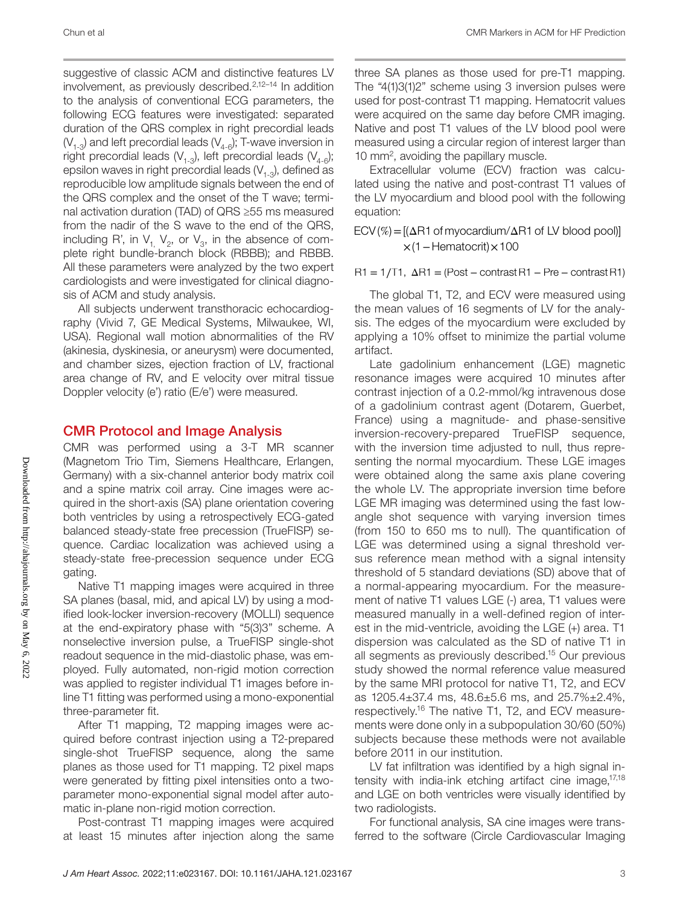suggestive of classic ACM and distinctive features LV involvement, as previously described.2,12–14 In addition to the analysis of conventional ECG parameters, the following ECG features were investigated: separated duration of the QRS complex in right precordial leads  $(V_{1-3})$  and left precordial leads  $(V_{4-6})$ ; T-wave inversion in right precordial leads ( $V_{1-3}$ ), left precordial leads ( $V_{4-6}$ ); epsilon waves in right precordial leads  $(V_{1,3})$ , defined as reproducible low amplitude signals between the end of the QRS complex and the onset of the T wave; terminal activation duration (TAD) of QRS ≥55 ms measured from the nadir of the S wave to the end of the QRS, including R', in  $V_{1}$ ,  $V_{2}$ , or  $V_{3}$ , in the absence of complete right bundle-branch block (RBBB); and RBBB. All these parameters were analyzed by the two expert cardiologists and were investigated for clinical diagnosis of ACM and study analysis.

All subjects underwent transthoracic echocardiography (Vivid 7, GE Medical Systems, Milwaukee, WI, USA). Regional wall motion abnormalities of the RV (akinesia, dyskinesia, or aneurysm) were documented, and chamber sizes, ejection fraction of LV, fractional area change of RV, and E velocity over mitral tissue Doppler velocity (e') ratio (E/e') were measured.

#### CMR Protocol and Image Analysis

CMR was performed using a 3-T MR scanner (Magnetom Trio Tim, Siemens Healthcare, Erlangen, Germany) with a six-channel anterior body matrix coil and a spine matrix coil array. Cine images were acquired in the short-axis (SA) plane orientation covering both ventricles by using a retrospectively ECG-gated balanced steady-state free precession (TrueFISP) sequence. Cardiac localization was achieved using a steady-state free-precession sequence under ECG gating.

Native T1 mapping images were acquired in three SA planes (basal, mid, and apical LV) by using a modified look-locker inversion-recovery (MOLLI) sequence at the end-expiratory phase with "5(3)3" scheme. A nonselective inversion pulse, a TrueFISP single-shot readout sequence in the mid-diastolic phase, was employed. Fully automated, non-rigid motion correction was applied to register individual T1 images before inline T1 fitting was performed using a mono-exponential three-parameter fit.

After T1 mapping, T2 mapping images were acquired before contrast injection using a T2-prepared single-shot TrueFISP sequence, along the same planes as those used for T1 mapping. T2 pixel maps were generated by fitting pixel intensities onto a twoparameter mono-exponential signal model after automatic in-plane non-rigid motion correction.

Post-contrast T1 mapping images were acquired at least 15 minutes after injection along the same three SA planes as those used for pre-T1 mapping. The "4(1)3(1)2" scheme using 3 inversion pulses were used for post-contrast T1 mapping. Hematocrit values were acquired on the same day before CMR imaging. Native and post T1 values of the LV blood pool were measured using a circular region of interest larger than 10 mm2 , avoiding the papillary muscle.

Extracellular volume (ECV) fraction was calculated using the native and post-contrast T1 values of the LV myocardium and blood pool with the following equation:

 $ECV$  (%) =  $[(\Delta R1 \text{ of myocardium}/\Delta R1 \text{ of LV blood pool})]$ ×(1−Hematocrit)×100

 $R1 = 1/T1$ ,  $\Delta R1 = (Post - contrast R1 - Pre - contrast R1)$ 

The global T1, T2, and ECV were measured using the mean values of 16 segments of LV for the analysis. The edges of the myocardium were excluded by applying a 10% offset to minimize the partial volume artifact.

Late gadolinium enhancement (LGE) magnetic resonance images were acquired 10 minutes after contrast injection of a 0.2-mmol/kg intravenous dose of a gadolinium contrast agent (Dotarem, Guerbet, France) using a magnitude- and phase-sensitive inversion-recovery-prepared TrueFISP sequence, with the inversion time adjusted to null, thus representing the normal myocardium. These LGE images were obtained along the same axis plane covering the whole LV. The appropriate inversion time before LGE MR imaging was determined using the fast lowangle shot sequence with varying inversion times (from 150 to 650 ms to null). The quantification of LGE was determined using a signal threshold versus reference mean method with a signal intensity threshold of 5 standard deviations (SD) above that of a normal-appearing myocardium. For the measurement of native T1 values LGE (-) area, T1 values were measured manually in a well-defined region of interest in the mid-ventricle, avoiding the LGE (+) area. T1 dispersion was calculated as the SD of native T1 in all segments as previously described.15 Our previous study showed the normal reference value measured by the same MRI protocol for native T1, T2, and ECV as 1205.4±37.4 ms, 48.6±5.6 ms, and 25.7%±2.4%, respectively.16 The native T1, T2, and ECV measurements were done only in a subpopulation 30/60 (50%) subjects because these methods were not available before 2011 in our institution.

LV fat infiltration was identified by a high signal intensity with india-ink etching artifact cine image, $17,18$ and LGE on both ventricles were visually identified by two radiologists.

For functional analysis, SA cine images were transferred to the software (Circle Cardiovascular Imaging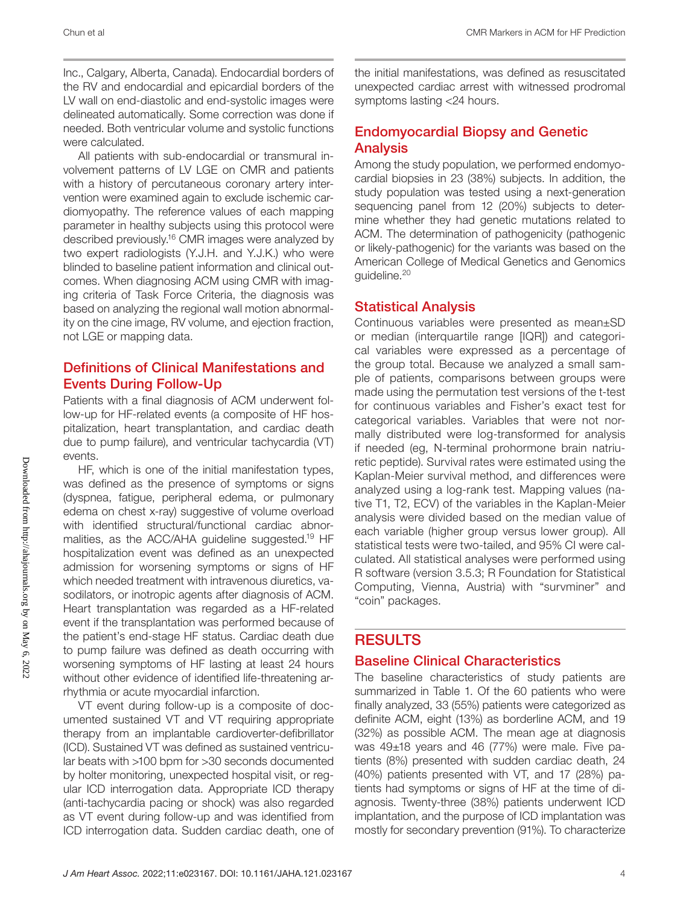Inc., Calgary, Alberta, Canada). Endocardial borders of the RV and endocardial and epicardial borders of the LV wall on end-diastolic and end-systolic images were delineated automatically. Some correction was done if needed. Both ventricular volume and systolic functions were calculated.

All patients with sub-endocardial or transmural involvement patterns of LV LGE on CMR and patients with a history of percutaneous coronary artery intervention were examined again to exclude ischemic cardiomyopathy. The reference values of each mapping parameter in healthy subjects using this protocol were described previously.16 CMR images were analyzed by two expert radiologists (Y.J.H. and Y.J.K.) who were blinded to baseline patient information and clinical outcomes. When diagnosing ACM using CMR with imaging criteria of Task Force Criteria, the diagnosis was based on analyzing the regional wall motion abnormality on the cine image, RV volume, and ejection fraction, not LGE or mapping data.

### Definitions of Clinical Manifestations and Events During Follow-Up

Patients with a final diagnosis of ACM underwent follow-up for HF-related events (a composite of HF hospitalization, heart transplantation, and cardiac death due to pump failure), and ventricular tachycardia (VT) events.

HF, which is one of the initial manifestation types, was defined as the presence of symptoms or signs (dyspnea, fatigue, peripheral edema, or pulmonary edema on chest x-ray) suggestive of volume overload with identified structural/functional cardiac abnormalities, as the ACC/AHA guideline suggested.19 HF hospitalization event was defined as an unexpected admission for worsening symptoms or signs of HF which needed treatment with intravenous diuretics, vasodilators, or inotropic agents after diagnosis of ACM. Heart transplantation was regarded as a HF-related event if the transplantation was performed because of the patient's end-stage HF status. Cardiac death due to pump failure was defined as death occurring with worsening symptoms of HF lasting at least 24 hours without other evidence of identified life-threatening arrhythmia or acute myocardial infarction.

VT event during follow-up is a composite of documented sustained VT and VT requiring appropriate therapy from an implantable cardioverter-defibrillator (ICD). Sustained VT was defined as sustained ventricular beats with >100 bpm for >30 seconds documented by holter monitoring, unexpected hospital visit, or regular ICD interrogation data. Appropriate ICD therapy (anti-tachycardia pacing or shock) was also regarded as VT event during follow-up and was identified from ICD interrogation data. Sudden cardiac death, one of the initial manifestations, was defined as resuscitated unexpected cardiac arrest with witnessed prodromal symptoms lasting <24 hours.

### Endomyocardial Biopsy and Genetic Analysis

Among the study population, we performed endomyocardial biopsies in 23 (38%) subjects. In addition, the study population was tested using a next-generation sequencing panel from 12 (20%) subjects to determine whether they had genetic mutations related to ACM. The determination of pathogenicity (pathogenic or likely-pathogenic) for the variants was based on the American College of Medical Genetics and Genomics guideline.20

### Statistical Analysis

Continuous variables were presented as mean±SD or median (interquartile range [IQR]) and categorical variables were expressed as a percentage of the group total. Because we analyzed a small sample of patients, comparisons between groups were made using the permutation test versions of the t-test for continuous variables and Fisher's exact test for categorical variables. Variables that were not normally distributed were log-transformed for analysis if needed (eg, N-terminal prohormone brain natriuretic peptide). Survival rates were estimated using the Kaplan-Meier survival method, and differences were analyzed using a log-rank test. Mapping values (native T1, T2, ECV) of the variables in the Kaplan-Meier analysis were divided based on the median value of each variable (higher group versus lower group). All statistical tests were two-tailed, and 95% CI were calculated. All statistical analyses were performed using R software (version 3.5.3; R Foundation for Statistical Computing, Vienna, Austria) with "survminer" and "coin" packages.

### **RESULTS**

### Baseline Clinical Characteristics

The baseline characteristics of study patients are summarized in Table 1. Of the 60 patients who were finally analyzed, 33 (55%) patients were categorized as definite ACM, eight (13%) as borderline ACM, and 19 (32%) as possible ACM. The mean age at diagnosis was 49±18 years and 46 (77%) were male. Five patients (8%) presented with sudden cardiac death, 24 (40%) patients presented with VT, and 17 (28%) patients had symptoms or signs of HF at the time of diagnosis. Twenty-three (38%) patients underwent ICD implantation, and the purpose of ICD implantation was mostly for secondary prevention (91%). To characterize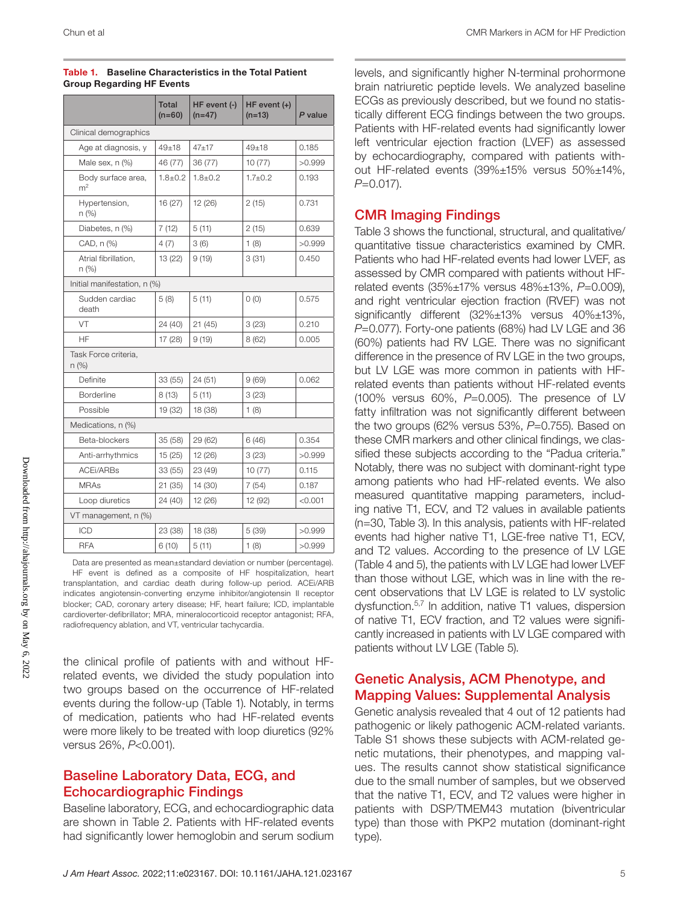|                                      | <b>Total</b><br>$(n=60)$ | HF event (-)<br>$(n=47)$ | $HF$ event $(+)$<br>$(n=13)$ | P value |  |  |
|--------------------------------------|--------------------------|--------------------------|------------------------------|---------|--|--|
| Clinical demographics                |                          |                          |                              |         |  |  |
| Age at diagnosis, y                  | $49 + 18$                | $47 + 17$                | $49 + 18$                    | 0.185   |  |  |
| Male sex, n (%)                      | 46 (77)                  | 36 (77)                  | 10(77)                       | >0.999  |  |  |
| Body surface area,<br>m <sup>2</sup> | $1.8 \pm 0.2$            | $1.8 \pm 0.2$            | $1.7 \pm 0.2$                | 0.193   |  |  |
| Hypertension,<br>n (%)               | 16(27)                   | 12 (26)                  | 2(15)                        | 0.731   |  |  |
| Diabetes, n (%)                      | 7(12)                    | 5(11)                    | 2(15)                        | 0.639   |  |  |
| CAD, n (%)                           | 4(7)                     | 3(6)                     | 1(8)                         | >0.999  |  |  |
| Atrial fibrillation.<br>n (%)        | 13 (22)                  | 9(19)                    | 3(31)                        | 0.450   |  |  |
| Initial manifestation, n (%)         |                          |                          |                              |         |  |  |
| Sudden cardiac<br>death              | 5(8)                     | 5(11)                    | 0(0)                         | 0.575   |  |  |
| VT                                   | 24 (40)                  | 21(45)                   | 3(23)                        | 0.210   |  |  |
| HF                                   | 17 (28)                  | 9(19)                    | 8(62)                        | 0.005   |  |  |
| Task Force criteria,<br>n (%)        |                          |                          |                              |         |  |  |
| Definite                             | 33 (55)                  | 24 (51)                  | 9(69)                        | 0.062   |  |  |
| Borderline                           | 8(13)                    | 5(11)                    | 3(23)                        |         |  |  |
| Possible                             | 19 (32)                  | 18 (38)                  | 1(8)                         |         |  |  |
| Medications, n (%)                   |                          |                          |                              |         |  |  |
| Beta-blockers                        | 35 (58)                  | 29 (62)                  | 6(46)                        | 0.354   |  |  |
| Anti-arrhythmics                     | 15 (25)                  | 12 (26)                  | 3(23)                        | >0.999  |  |  |
| <b>ACEI/ARBs</b>                     | 33 (55)                  | 23 (49)                  | 10(77)                       | 0.115   |  |  |
| <b>MRAs</b>                          | 21(35)                   | 14 (30)                  | 7(54)                        | 0.187   |  |  |
| Loop diuretics                       | 24 (40)                  | 12 (26)                  | 12 (92)                      | < 0.001 |  |  |
| VT management, n (%)                 |                          |                          |                              |         |  |  |
| ICD                                  | 23 (38)                  | 18 (38)                  | 5 (39)                       | >0.999  |  |  |
| <b>RFA</b>                           | 6(10)                    | 5(11)                    | 1(8)                         | >0.999  |  |  |

#### Table 1. Baseline Characteristics in the Total Patient Group Regarding HF Events

Data are presented as mean±standard deviation or number (percentage). HF event is defined as a composite of HF hospitalization, heart transplantation, and cardiac death during follow-up period. ACEi/ARB indicates angiotensin-converting enzyme inhibitor/angiotensin II receptor blocker; CAD, coronary artery disease; HF, heart failure; ICD, implantable cardioverter-defibrillator; MRA, mineralocorticoid receptor antagonist; RFA, radiofrequency ablation, and VT, ventricular tachycardia.

the clinical profile of patients with and without HFrelated events, we divided the study population into two groups based on the occurrence of HF-related events during the follow-up (Table 1). Notably, in terms of medication, patients who had HF-related events were more likely to be treated with loop diuretics (92% versus 26%, *P*<0.001).

### Baseline Laboratory Data, ECG, and Echocardiographic Findings

Baseline laboratory, ECG, and echocardiographic data are shown in Table 2. Patients with HF-related events had significantly lower hemoglobin and serum sodium

levels, and significantly higher N-terminal prohormone brain natriuretic peptide levels. We analyzed baseline ECGs as previously described, but we found no statistically different ECG findings between the two groups. Patients with HF-related events had significantly lower left ventricular ejection fraction (LVEF) as assessed by echocardiography, compared with patients without HF-related events (39%±15% versus 50%±14%, *P*=0.017).

### CMR Imaging Findings

Table 3 shows the functional, structural, and qualitative/ quantitative tissue characteristics examined by CMR. Patients who had HF-related events had lower LVEF, as assessed by CMR compared with patients without HFrelated events (35%±17% versus 48%±13%, *P*=0.009), and right ventricular ejection fraction (RVEF) was not significantly different (32%±13% versus 40%±13%, *P*=0.077). Forty-one patients (68%) had LV LGE and 36 (60%) patients had RV LGE. There was no significant difference in the presence of RV LGE in the two groups, but LV LGE was more common in patients with HFrelated events than patients without HF-related events (100% versus 60%, *P*=0.005). The presence of LV fatty infiltration was not significantly different between the two groups (62% versus 53%, *P*=0.755). Based on these CMR markers and other clinical findings, we classified these subjects according to the "Padua criteria." Notably, there was no subject with dominant-right type among patients who had HF-related events. We also measured quantitative mapping parameters, including native T1, ECV, and T2 values in available patients (n=30, Table 3). In this analysis, patients with HF-related events had higher native T1, LGE-free native T1, ECV, and T2 values. According to the presence of LV LGE (Table 4 and 5), the patients with LV LGE had lower LVEF than those without LGE, which was in line with the recent observations that LV LGE is related to LV systolic dysfunction.5,7 In addition, native T1 values, dispersion of native T1, ECV fraction, and T2 values were significantly increased in patients with LV LGE compared with patients without LV LGE (Table 5).

### Genetic Analysis, ACM Phenotype, and Mapping Values: Supplemental Analysis

Genetic analysis revealed that 4 out of 12 patients had pathogenic or likely pathogenic ACM-related variants. Table S1 shows these subjects with ACM-related genetic mutations, their phenotypes, and mapping values. The results cannot show statistical significance due to the small number of samples, but we observed that the native T1, ECV, and T2 values were higher in patients with DSP/TMEM43 mutation (biventricular type) than those with PKP2 mutation (dominant-right type).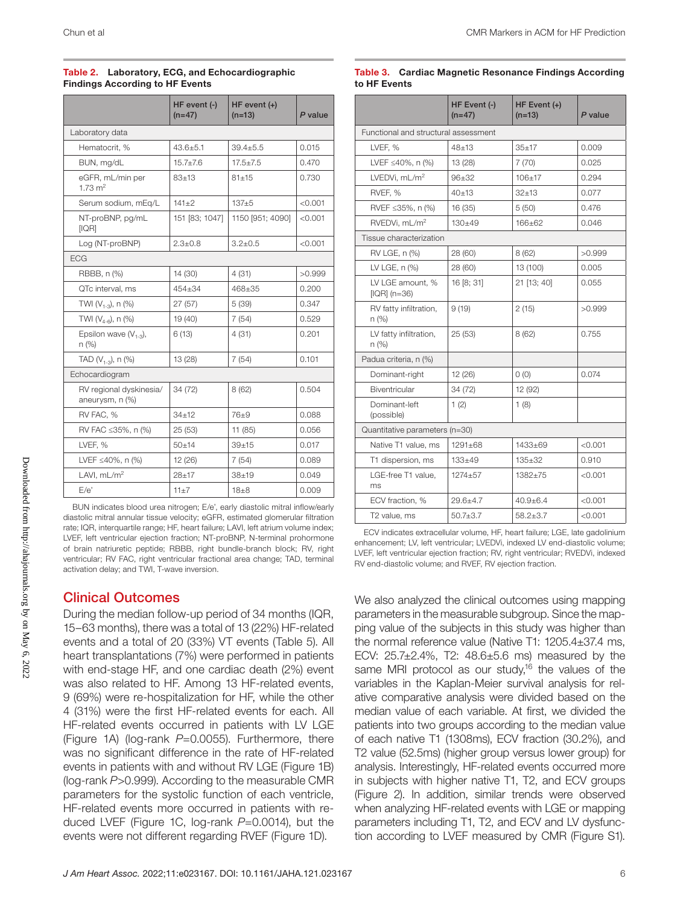|                                            | HF event (-)<br>$(n=47)$ | $HF$ event $(+)$<br>$(n=13)$ | P value |
|--------------------------------------------|--------------------------|------------------------------|---------|
| Laboratory data                            |                          |                              |         |
| Hematocrit. %                              | $43.6 + 5.1$             | $39.4 + 5.5$                 | 0.015   |
| BUN, mg/dL                                 | $15.7 \pm 7.6$           | $17.5 \pm 7.5$               | 0.470   |
| eGFR, mL/min per<br>$1.73 \text{ m}^2$     | $83+13$                  | $81 + 15$                    | 0.730   |
| Serum sodium, mEg/L                        | $141 + 2$                | $137 + 5$                    | < 0.001 |
| NT-proBNP, pg/mL<br>[IQR]                  | 151 [83; 1047]           | 1150 [951; 4090]             | < 0.001 |
| Log (NT-proBNP)                            | $2.3 + 0.8$              | $3.2 + 0.5$                  | < 0.001 |
| <b>ECG</b>                                 |                          |                              |         |
| RBBB, n (%)                                | 14 (30)                  | 4(31)                        | >0.999  |
| QTc interval, ms                           | $454 \pm 34$             | 468±35                       | 0.200   |
| TWI $(V_{1.3})$ , n $(\%)$                 | 27 (57)                  | 5(39)                        | 0.347   |
| TWI $(V_{4-6})$ , n $(%)$                  | 19 (40)                  | 7(54)                        | 0.529   |
| Epsilon wave $(V_{1,3})$ ,<br>$n$ (%)      | 6(13)                    | 4(31)                        | 0.201   |
| TAD $(V_{1-3})$ , n $(\%)$                 | 13 (28)                  | 7(54)                        | 0.101   |
| Echocardiogram                             |                          |                              |         |
| RV regional dyskinesia/<br>aneurysm, n (%) | 34 (72)                  | 8(62)                        | 0.504   |
| RV FAC, %                                  | $34 + 12$                | 76±9                         | 0.088   |
| RV FAC ≤35%, n (%)                         | 25(53)                   | 11 (85)                      | 0.056   |
| LVEF, %                                    | $50 + 14$                | $39 + 15$                    | 0.017   |
| LVEF ≤40%, n $(%)$                         | 12 (26)                  | 7(54)                        | 0.089   |
| LAVI, mL/m <sup>2</sup>                    | $28 + 17$                | $38 + 19$                    | 0.049   |
| E/e'                                       | 11±7                     | $18 + 8$                     | 0.009   |

#### Table 2. Laboratory, ECG, and Echocardiographic Findings According to HF Events

BUN indicates blood urea nitrogen; E/e', early diastolic mitral inflow/early diastolic mitral annular tissue velocity; eGFR, estimated glomerular filtration rate; IQR, interquartile range; HF, heart failure; LAVI, left atrium volume index; LVEF, left ventricular ejection fraction; NT-proBNP, N-terminal prohormone of brain natriuretic peptide; RBBB, right bundle-branch block; RV, right ventricular; RV FAC, right ventricular fractional area change; TAD, terminal activation delay; and TWI, T-wave inversion.

### Clinical Outcomes

During the median follow-up period of 34 months (IQR, 15–63 months), there was a total of 13 (22%) HF-related events and a total of 20 (33%) VT events (Table 5). All heart transplantations (7%) were performed in patients with end-stage HF, and one cardiac death (2%) event was also related to HF. Among 13 HF-related events, 9 (69%) were re-hospitalization for HF, while the other 4 (31%) were the first HF-related events for each. All HF-related events occurred in patients with LV LGE (Figure 1A) (log-rank *P*=0.0055). Furthermore, there was no significant difference in the rate of HF-related events in patients with and without RV LGE (Figure 1B) (log-rank *P*>0.999). According to the measurable CMR parameters for the systolic function of each ventricle, HF-related events more occurred in patients with reduced LVEF (Figure 1C, log-rank *P*=0.0014), but the events were not different regarding RVEF (Figure 1D).

#### Table 3. Cardiac Magnetic Resonance Findings According to HF Events

|                                      | HF Event (-)<br>$(n=47)$ | HF Event (+)<br>$(n=13)$ | P value |  |  |
|--------------------------------------|--------------------------|--------------------------|---------|--|--|
| Functional and structural assessment |                          |                          |         |  |  |
| LVEF. %                              | $48 + 13$                | $35+17$                  | 0.009   |  |  |
| LVEF ≤40%, n (%)                     | 13 (28)                  | 7(70)                    | 0.025   |  |  |
| LVEDVi. mL/m <sup>2</sup>            | $96 + 32$                | $106 + 17$               | 0.294   |  |  |
| RVEF. %                              | $40+13$                  | $32+13$                  | 0.077   |  |  |
| RVEF ≤35%, n (%)                     | 16 (35)                  | 5(50)                    | 0.476   |  |  |
| RVEDVi, mL/m <sup>2</sup>            | $130 + 49$               | $166 + 62$               | 0.046   |  |  |
| Tissue characterization              |                          |                          |         |  |  |
| RV LGE, n (%)                        | 28 (60)                  | 8(62)                    | >0.999  |  |  |
| LV LGE, n (%)                        | 28 (60)                  | 13 (100)                 | 0.005   |  |  |
| LV LGE amount. %<br>$[IQR]$ (n=36)   | 16 [8; 31]               | 21 [13; 40]              | 0.055   |  |  |
| RV fatty infiltration,<br>n (%)      | 9(19)                    | 2(15)                    | >0.999  |  |  |
| LV fatty infiltration,<br>n (%)      | 25 (53)                  | 8(62)                    | 0.755   |  |  |
| Padua criteria, n (%)                |                          |                          |         |  |  |
| Dominant-right                       | 12 (26)                  | O(0)                     | 0.074   |  |  |
| <b>Biventricular</b>                 | 34 (72)                  | 12 (92)                  |         |  |  |
| Dominant-left<br>(possible)          | 1(2)                     | 1(8)                     |         |  |  |
| Quantitative parameters (n=30)       |                          |                          |         |  |  |
| Native T1 value, ms                  | $1291 + 68$              | $1433+69$                | < 0.001 |  |  |
| T1 dispersion, ms                    | $133 + 49$               | $135 + 32$               | 0.910   |  |  |
| LGE-free T1 value,<br>ms             | $1274 + 57$              | $1382 + 75$              | < 0.001 |  |  |
| ECV fraction, %                      | $29.6 \pm 4.7$           | $40.9 + 6.4$             | < 0.001 |  |  |
| T2 value, ms                         | $50.7 + 3.7$             | $58.2 \pm 3.7$           | < 0.001 |  |  |

ECV indicates extracellular volume, HF, heart failure; LGE, late gadolinium enhancement; LV, left ventricular; LVEDVi, indexed LV end-diastolic volume; LVEF, left ventricular ejection fraction; RV, right ventricular; RVEDVi, indexed RV end-diastolic volume; and RVEF, RV ejection fraction.

We also analyzed the clinical outcomes using mapping parameters in the measurable subgroup. Since the mapping value of the subjects in this study was higher than the normal reference value (Native T1: 1205.4±37.4 ms, ECV: 25.7±2.4%, T2: 48.6±5.6 ms) measured by the same MRI protocol as our study,<sup>16</sup> the values of the variables in the Kaplan-Meier survival analysis for relative comparative analysis were divided based on the median value of each variable. At first, we divided the patients into two groups according to the median value of each native T1 (1308ms), ECV fraction (30.2%), and T2 value (52.5ms) (higher group versus lower group) for analysis. Interestingly, HF-related events occurred more in subjects with higher native T1, T2, and ECV groups (Figure 2). In addition, similar trends were observed when analyzing HF-related events with LGE or mapping parameters including T1, T2, and ECV and LV dysfunction according to LVEF measured by CMR (Figure S1).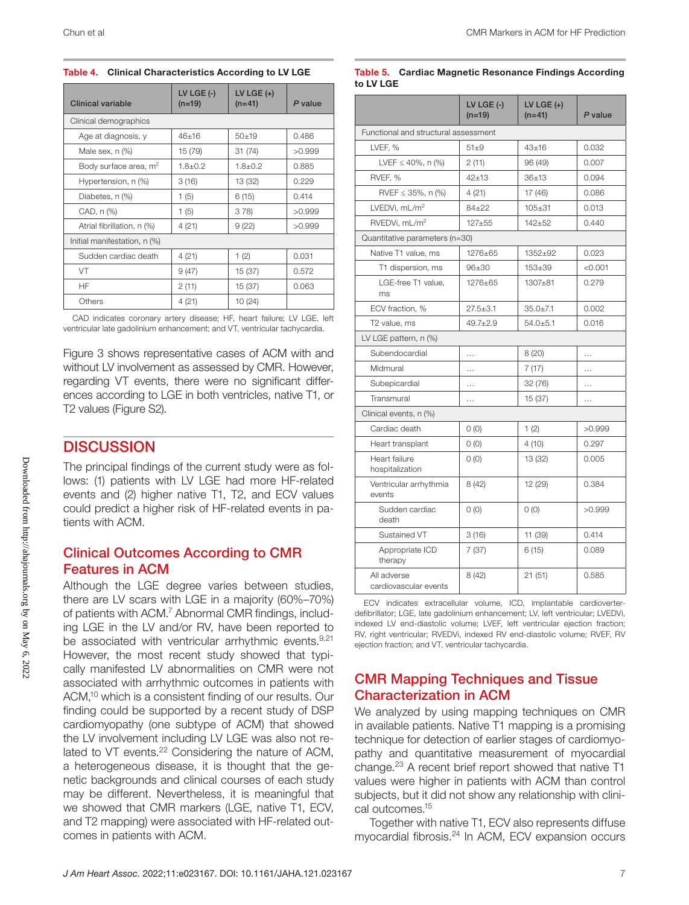#### Table 4. Clinical Characteristics According to LV LGE

| Clinical variable                 | LV LGE $(-)$<br>$(n=19)$ | LV LGE $(+)$<br>$(n=41)$ | P value |  |
|-----------------------------------|--------------------------|--------------------------|---------|--|
| Clinical demographics             |                          |                          |         |  |
| Age at diagnosis, y               | $46 + 16$                | $50 + 19$                | 0.486   |  |
| Male sex, n (%)                   | 15 (79)                  | 31(74)                   | >0.999  |  |
| Body surface area, m <sup>2</sup> | $1.8 \pm 0.2$            | $1.8 + 0.2$              | 0.885   |  |
| Hypertension, n (%)               | 3(16)                    | 13 (32)                  | 0.229   |  |
| Diabetes, n (%)                   | 1(5)                     | 6(15)                    | 0.414   |  |
| CAD, n (%)                        | 1(5)                     | 378                      | >0.999  |  |
| Atrial fibrillation, n (%)        | 4(21)                    | 9(22)                    | >0.999  |  |
| Initial manifestation, n (%)      |                          |                          |         |  |
| Sudden cardiac death              | 4(21)                    | 1(2)                     | 0.031   |  |
| VT                                | 9(47)                    | 15(37)                   | 0.572   |  |
| <b>HF</b>                         | 2(11)                    | 15(37)                   | 0.063   |  |
| Others                            | 4(21)                    | 10(24)                   |         |  |

CAD indicates coronary artery disease; HF, heart failure; LV LGE, left ventricular late gadolinium enhancement; and VT, ventricular tachycardia.

Figure 3 shows representative cases of ACM with and without LV involvement as assessed by CMR. However, regarding VT events, there were no significant differences according to LGE in both ventricles, native T1, or T2 values (Figure S2).

### **DISCUSSION**

The principal findings of the current study were as follows: (1) patients with LV LGE had more HF-related events and (2) higher native T1, T2, and ECV values could predict a higher risk of HF-related events in patients with ACM.

### Clinical Outcomes According to CMR Features in ACM

Although the LGE degree varies between studies, there are LV scars with LGE in a majority (60%–70%) of patients with ACM.7 Abnormal CMR findings, including LGE in the LV and/or RV, have been reported to be associated with ventricular arrhythmic events.<sup>9,21</sup> However, the most recent study showed that typically manifested LV abnormalities on CMR were not associated with arrhythmic outcomes in patients with ACM,<sup>10</sup> which is a consistent finding of our results. Our finding could be supported by a recent study of DSP cardiomyopathy (one subtype of ACM) that showed the LV involvement including LV LGE was also not related to VT events.<sup>22</sup> Considering the nature of ACM, a heterogeneous disease, it is thought that the genetic backgrounds and clinical courses of each study may be different. Nevertheless, it is meaningful that we showed that CMR markers (LGE, native T1, ECV, and T2 mapping) were associated with HF-related outcomes in patients with ACM.

#### Table 5. Cardiac Magnetic Resonance Findings According to LV LGE

|                                      | LV LGE $(-)$<br>$(n=19)$ | LV LGE $(+)$<br>$(n=41)$ | P value  |  |  |
|--------------------------------------|--------------------------|--------------------------|----------|--|--|
| Functional and structural assessment |                          |                          |          |  |  |
| LVEF, %                              | $51\pm9$                 | $43 + 16$                | 0.032    |  |  |
| LVEF $\leq 40\%$ , n (%)             | 2(11)                    | 96 (49)                  | 0.007    |  |  |
| RVEF, %                              | $42 + 13$                | $36 + 13$                | 0.094    |  |  |
| RVEF $\leq$ 35%, n (%)               | 4 (21)                   | 17 (46)                  | 0.086    |  |  |
| LVEDVi, mL/m <sup>2</sup>            | $84 + 22$                | $105 + 31$               | 0.013    |  |  |
| RVEDVi, mL/m <sup>2</sup>            | $127 + 55$               | $142 + 52$               | 0.440    |  |  |
| Quantitative parameters (n=30)       |                          |                          |          |  |  |
| Native T1 value, ms                  | 1276±65                  | 1352±92                  | 0.023    |  |  |
| T1 dispersion, ms                    | $96 + 30$                | $153 + 39$               | < 0.001  |  |  |
| LGE-free T1 value,<br>ms             | 1276±65                  | 1307±81                  | 0.279    |  |  |
| ECV fraction, %                      | $27.5 \pm 3.1$           | $35.0 \pm 7.1$           | 0.002    |  |  |
| T <sub>2</sub> value, ms             | $49.7 \pm 2.9$           | $54.0 + 5.1$             | 0.016    |  |  |
| LV LGE pattern, n (%)                |                          |                          |          |  |  |
| Subendocardial                       | $\cdots$                 | 8(20)                    | $\cdots$ |  |  |
| Midmural                             | .                        | 7(17)                    | .        |  |  |
| Subepicardial                        | $\cdots$                 | 32(76)                   | $\cdots$ |  |  |
| Transmural                           | .                        | 15 (37)                  | .        |  |  |
| Clinical events, n (%)               |                          |                          |          |  |  |
| Cardiac death                        | 0(0)                     | 1(2)                     | >0.999   |  |  |
| Heart transplant                     | 0(0)                     | 4(10)                    | 0.297    |  |  |
| Heart failure<br>hospitalization     | O(0)                     | 13 (32)                  | 0.005    |  |  |
| Ventricular arrhythmia<br>events     | 8(42)                    | 12 (29)                  | 0.384    |  |  |
| Sudden cardiac<br>death              | 0(0)                     | O(0)                     | >0.999   |  |  |
| Sustained VT                         | 3(16)                    | 11 (39)                  | 0.414    |  |  |
| Appropriate ICD<br>therapy           | 7(37)                    | 6(15)                    | 0.089    |  |  |
| All adverse<br>cardiovascular events | 8(42)                    | 21(51)                   | 0.585    |  |  |

ECV indicates extracellular volume, ICD, implantable cardioverterdefibrillator; LGE, late gadolinium enhancement; LV, left ventricular; LVEDVi, indexed LV end-diastolic volume; LVEF, left ventricular ejection fraction; RV, right ventricular; RVEDVi, indexed RV end-diastolic volume; RVEF, RV ejection fraction; and VT, ventricular tachycardia.

### CMR Mapping Techniques and Tissue Characterization in ACM

We analyzed by using mapping techniques on CMR in available patients. Native T1 mapping is a promising technique for detection of earlier stages of cardiomyopathy and quantitative measurement of myocardial change.23 A recent brief report showed that native T1 values were higher in patients with ACM than control subjects, but it did not show any relationship with clinical outcomes.15

Together with native T1, ECV also represents diffuse myocardial fibrosis.24 In ACM, ECV expansion occurs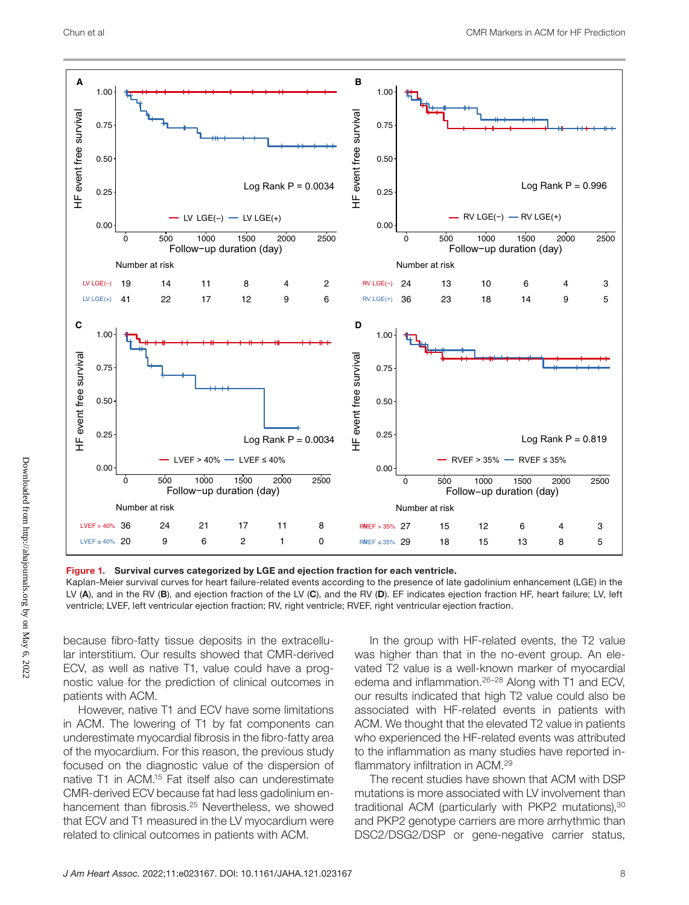

Figure 1. Survival curves categorized by LGE and ejection fraction for each ventricle.

Kaplan-Meier survival curves for heart failure-related events according to the presence of late gadolinium enhancement (LGE) in the LV (A), and in the RV (B), and ejection fraction of the LV (C), and the RV (D). EF indicates ejection fraction HF, heart failure; LV, left ventricle; LVEF, left ventricular ejection fraction; RV, right ventricle; RVEF, right ventricular ejection fraction.

because fibro-fatty tissue deposits in the extracellular interstitium. Our results showed that CMR-derived ECV, as well as native T1, value could have a prognostic value for the prediction of clinical outcomes in patients with ACM.

However, native T1 and ECV have some limitations in ACM. The lowering of T1 by fat components can underestimate myocardial fibrosis in the fibro-fatty area of the myocardium. For this reason, the previous study focused on the diagnostic value of the dispersion of native T1 in ACM.15 Fat itself also can underestimate CMR-derived ECV because fat had less gadolinium enhancement than fibrosis.<sup>25</sup> Nevertheless, we showed that ECV and T1 measured in the LV myocardium were related to clinical outcomes in patients with ACM.

In the group with HF-related events, the T2 value was higher than that in the no-event group. An elevated T2 value is a well-known marker of myocardial edema and inflammation.<sup>26-28</sup> Along with T1 and ECV, our results indicated that high T2 value could also be associated with HF-related events in patients with ACM. We thought that the elevated T2 value in patients who experienced the HF-related events was attributed to the inflammation as many studies have reported inflammatory infiltration in ACM.29

The recent studies have shown that ACM with DSP mutations is more associated with LV involvement than traditional ACM (particularly with PKP2 mutations),<sup>30</sup> and PKP2 genotype carriers are more arrhythmic than DSC2/DSG2/DSP or gene-negative carrier status,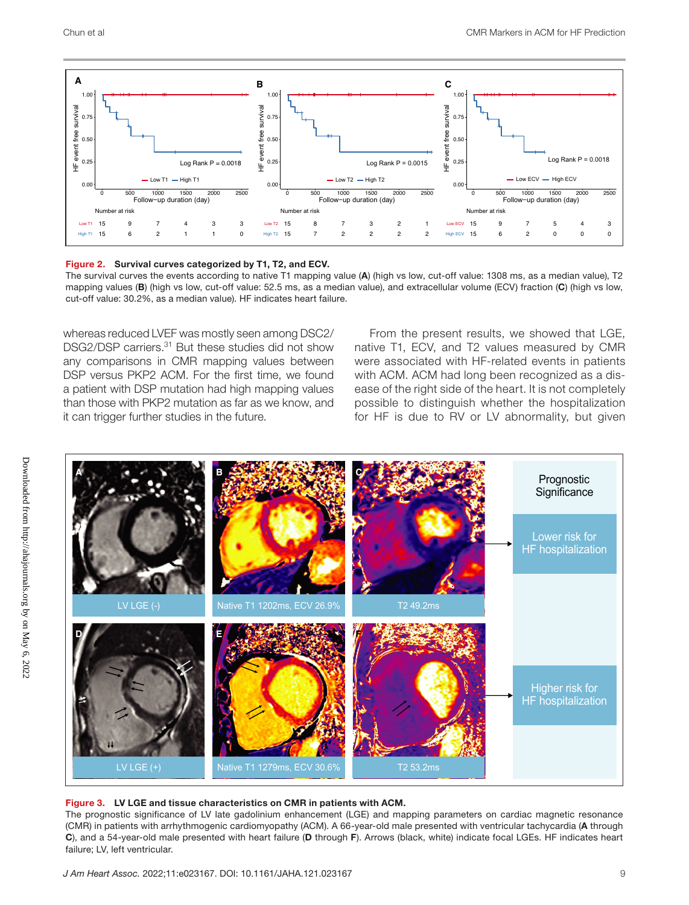

#### Figure 2. Survival curves categorized by T1, T2, and ECV.

The survival curves the events according to native T1 mapping value (A) (high vs low, cut-off value: 1308 ms, as a median value), T2 mapping values (B) (high vs low, cut-off value: 52.5 ms, as a median value), and extracellular volume (ECV) fraction (C) (high vs low, cut-off value: 30.2%, as a median value). HF indicates heart failure.

whereas reduced LVEF was mostly seen among DSC2/ DSG2/DSP carriers.<sup>31</sup> But these studies did not show any comparisons in CMR mapping values between DSP versus PKP2 ACM. For the first time, we found a patient with DSP mutation had high mapping values than those with PKP2 mutation as far as we know, and it can trigger further studies in the future.

From the present results, we showed that LGE, native T1, ECV, and T2 values measured by CMR were associated with HF-related events in patients with ACM. ACM had long been recognized as a disease of the right side of the heart. It is not completely possible to distinguish whether the hospitalization for HF is due to RV or LV abnormality, but given



#### Figure 3. LV LGE and tissue characteristics on CMR in patients with ACM.

The prognostic significance of LV late gadolinium enhancement (LGE) and mapping parameters on cardiac magnetic resonance (CMR) in patients with arrhythmogenic cardiomyopathy (ACM). A 66-year-old male presented with ventricular tachycardia (A through C), and a 54-year-old male presented with heart failure (D through F). Arrows (black, white) indicate focal LGEs. HF indicates heart failure; LV, left ventricular.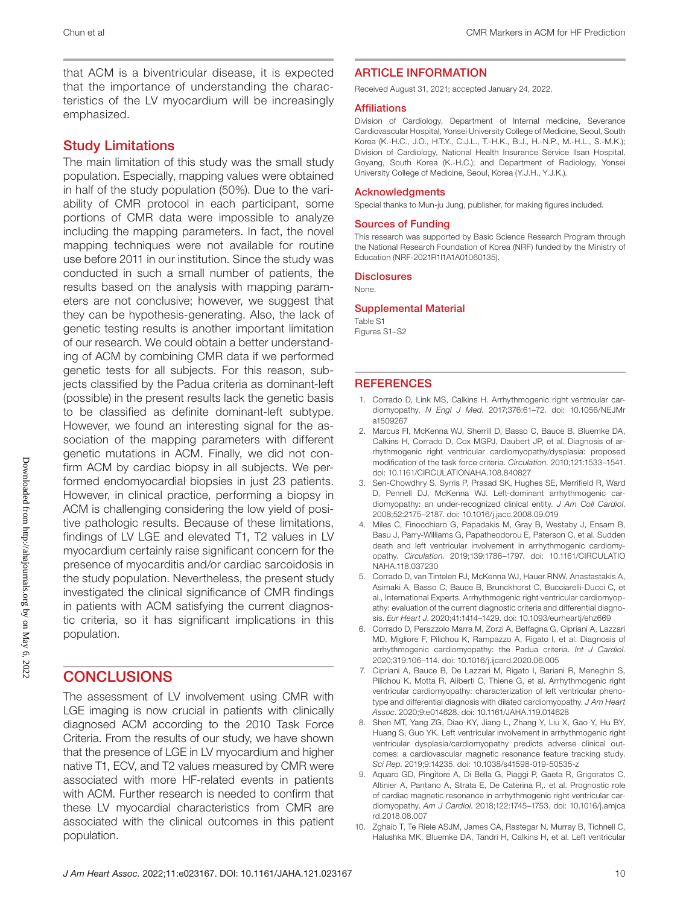that ACM is a biventricular disease, it is expected that the importance of understanding the characteristics of the LV myocardium will be increasingly emphasized.

### Study Limitations

The main limitation of this study was the small study population. Especially, mapping values were obtained in half of the study population (50%). Due to the variability of CMR protocol in each participant, some portions of CMR data were impossible to analyze including the mapping parameters. In fact, the novel mapping techniques were not available for routine use before 2011 in our institution. Since the study was conducted in such a small number of patients, the results based on the analysis with mapping parameters are not conclusive; however, we suggest that they can be hypothesis-generating. Also, the lack of genetic testing results is another important limitation of our research. We could obtain a better understanding of ACM by combining CMR data if we performed genetic tests for all subjects. For this reason, subjects classified by the Padua criteria as dominant-left (possible) in the present results lack the genetic basis to be classified as definite dominant-left subtype. However, we found an interesting signal for the association of the mapping parameters with different genetic mutations in ACM. Finally, we did not confirm ACM by cardiac biopsy in all subjects. We performed endomyocardial biopsies in just 23 patients. However, in clinical practice, performing a biopsy in ACM is challenging considering the low yield of positive pathologic results. Because of these limitations, findings of LV LGE and elevated T1, T2 values in LV myocardium certainly raise significant concern for the presence of myocarditis and/or cardiac sarcoidosis in the study population. Nevertheless, the present study investigated the clinical significance of CMR findings in patients with ACM satisfying the current diagnostic criteria, so it has significant implications in this population.

### **CONCLUSIONS**

The assessment of LV involvement using CMR with LGE imaging is now crucial in patients with clinically diagnosed ACM according to the 2010 Task Force Criteria. From the results of our study, we have shown that the presence of LGE in LV myocardium and higher native T1, ECV, and T2 values measured by CMR were associated with more HF-related events in patients with ACM. Further research is needed to confirm that these LV myocardial characteristics from CMR are associated with the clinical outcomes in this patient population.

#### ARTICLE INFORMATION

Received August 31, 2021; accepted January 24, 2022.

#### **Affiliations**

Division of Cardiology, Department of Internal medicine, Severance Cardiovascular Hospital, Yonsei University College of Medicine, Seoul, South Korea (K.-H.C., J.O., H.T.Y., C.J.L., T.-H.K., B.J., H.-N.P., M.-H.L., S.-M.K.); Division of Cardiology, National Health Insurance Service Ilsan Hospital, Goyang, South Korea (K.-H.C.); and Department of Radiology, Yonsei University College of Medicine, Seoul, Korea (Y.J.H., Y.J.K.).

#### Acknowledgments

Special thanks to Mun-ju Jung, publisher, for making figures included.

#### Sources of Funding

This research was supported by Basic Science Research Program through the National Research Foundation of Korea (NRF) funded by the Ministry of Education (NRF-2021R1I1A1A01060135).

#### **Disclosures**

None.

#### Supplemental Material

Table S1 Figures S1–S2

#### **REFERENCES**

- 1. Corrado D, Link MS, Calkins H. Arrhythmogenic right ventricular cardiomyopathy. *N Engl J Med*. 2017;376:61–72. doi: [10.1056/NEJMr](https://doi.org/10.1056/NEJMra1509267) [a1509267](https://doi.org/10.1056/NEJMra1509267)
- 2. Marcus FI, McKenna WJ, Sherrill D, Basso C, Bauce B, Bluemke DA, Calkins H, Corrado D, Cox MGPJ, Daubert JP, et al. Diagnosis of arrhythmogenic right ventricular cardiomyopathy/dysplasia: proposed modification of the task force criteria. *Circulation*. 2010;121:1533–1541. doi: [10.1161/CIRCULATIONAHA.108.840827](https://doi.org/10.1161/CIRCULATIONAHA.108.840827)
- 3. Sen-Chowdhry S, Syrris P, Prasad SK, Hughes SE, Merrifield R, Ward D, Pennell DJ, McKenna WJ. Left-dominant arrhythmogenic cardiomyopathy: an under-recognized clinical entity. *J Am Coll Cardiol*. 2008;52:2175–2187. doi: [10.1016/j.jacc.2008.09.019](https://doi.org/10.1016/j.jacc.2008.09.019)
- 4. Miles C, Finocchiaro G, Papadakis M, Gray B, Westaby J, Ensam B, Basu J, Parry-Williams G, Papatheodorou E, Paterson C, et al. Sudden death and left ventricular involvement in arrhythmogenic cardiomyopathy. *Circulation*. 2019;139:1786–1797. doi: [10.1161/CIRCULATIO](https://doi.org/10.1161/CIRCULATIONAHA.118.037230) [NAHA.118.037230](https://doi.org/10.1161/CIRCULATIONAHA.118.037230)
- 5. Corrado D, van Tintelen PJ, McKenna WJ, Hauer RNW, Anastastakis A, Asimaki A, Basso C, Bauce B, Brunckhorst C, Bucciarelli-Ducci C, et al., International Experts. Arrhythmogenic right ventricular cardiomyopathy: evaluation of the current diagnostic criteria and differential diagnosis. *Eur Heart J*. 2020;41:1414–1429. doi: [10.1093/eurheartj/ehz669](https://doi.org/10.1093/eurheartj/ehz669)
- 6. Corrado D, Perazzolo Marra M, Zorzi A, Beffagna G, Cipriani A, Lazzari MD, Migliore F, Pilichou K, Rampazzo A, Rigato I, et al. Diagnosis of arrhythmogenic cardiomyopathy: the Padua criteria. *Int J Cardiol*. 2020;319:106–114. doi: [10.1016/j.ijcard.2020.06.005](https://doi.org/10.1016/j.ijcard.2020.06.005)
- 7. Cipriani A, Bauce B, De Lazzari M, Rigato I, Bariani R, Meneghin S, Pilichou K, Motta R, Aliberti C, Thiene G, et al. Arrhythmogenic right ventricular cardiomyopathy: characterization of left ventricular phenotype and differential diagnosis with dilated cardiomyopathy. *J Am Heart Assoc*. 2020;9:e014628. doi: [10.1161/JAHA.119.014628](https://doi.org/10.1161/JAHA.119.014628)
- 8. Shen MT, Yang ZG, Diao KY, Jiang L, Zhang Y, Liu X, Gao Y, Hu BY, Huang S, Guo YK. Left ventricular involvement in arrhythmogenic right ventricular dysplasia/cardiomyopathy predicts adverse clinical outcomes: a cardiovascular magnetic resonance feature tracking study. *Sci Rep*. 2019;9:14235. doi: [10.1038/s41598-019-50535-z](https://doi.org/10.1038/s41598-019-50535-z)
- 9. Aquaro GD, Pingitore A, Di Bella G, Piaggi P, Gaeta R, Grigoratos C, Altinier A, Pantano A, Strata E, De Caterina R,. et al. Prognostic role of cardiac magnetic resonance in arrhythmogenic right ventricular cardiomyopathy. *Am J Cardiol*. 2018;122:1745–1753. doi: [10.1016/j.amjca](https://doi.org/10.1016/j.amjcard.2018.08.007) [rd.2018.08.007](https://doi.org/10.1016/j.amjcard.2018.08.007)
- 10. Zghaib T, Te Riele ASJM, James CA, Rastegar N, Murray B, Tichnell C, Halushka MK, Bluemke DA, Tandri H, Calkins H, et al. Left ventricular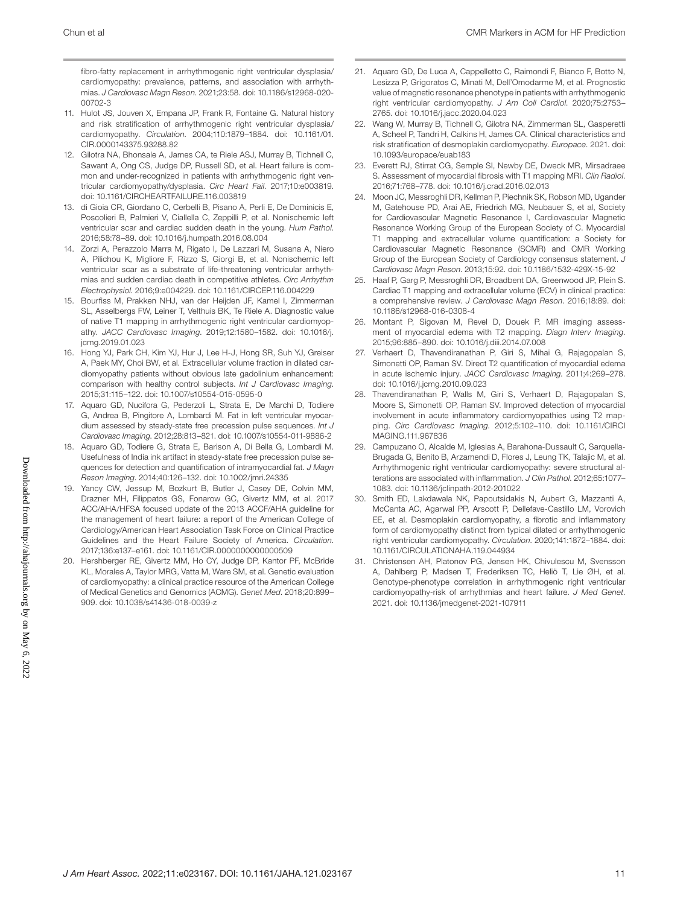fibro-fatty replacement in arrhythmogenic right ventricular dysplasia/ cardiomyopathy: prevalence, patterns, and association with arrhythmias. *J Cardiovasc Magn Reson*. 2021;23:58. doi: [10.1186/s12968-020-](https://doi.org/10.1186/s12968-020-00702-3) [00702-3](https://doi.org/10.1186/s12968-020-00702-3)

- 11. Hulot JS, Jouven X, Empana JP, Frank R, Fontaine G. Natural history and risk stratification of arrhythmogenic right ventricular dysplasia/ cardiomyopathy. *Circulation*. 2004;110:1879–1884. doi: [10.1161/01.](https://doi.org/10.1161/01.CIR.0000143375.93288.82) [CIR.0000143375.93288.82](https://doi.org/10.1161/01.CIR.0000143375.93288.82)
- 12. Gilotra NA, Bhonsale A, James CA, te Riele ASJ, Murray B, Tichnell C, Sawant A, Ong CS, Judge DP, Russell SD, et al. Heart failure is common and under-recognized in patients with arrhythmogenic right ventricular cardiomyopathy/dysplasia. *Circ Heart Fail*. 2017;10:e003819. doi: [10.1161/CIRCHEARTFAILURE.116.003819](https://doi.org/10.1161/CIRCHEARTFAILURE.116.003819)
- 13. di Gioia CR, Giordano C, Cerbelli B, Pisano A, Perli E, De Dominicis E, Poscolieri B, Palmieri V, Ciallella C, Zeppilli P, et al. Nonischemic left ventricular scar and cardiac sudden death in the young. *Hum Pathol*. 2016;58:78–89. doi: [10.1016/j.humpath.2016.08.004](https://doi.org/10.1016/j.humpath.2016.08.004)
- 14. Zorzi A, Perazzolo Marra M, Rigato I, De Lazzari M, Susana A, Niero A, Pilichou K, Migliore F, Rizzo S, Giorgi B, et al. Nonischemic left ventricular scar as a substrate of life-threatening ventricular arrhythmias and sudden cardiac death in competitive athletes. *Circ Arrhythm Electrophysiol*. 2016;9:e004229. doi: [10.1161/CIRCEP.116.004229](https://doi.org/10.1161/CIRCEP.116.004229)
- 15. Bourfiss M, Prakken NHJ, van der Heijden JF, Kamel I, Zimmerman SL, Asselbergs FW, Leiner T, Velthuis BK, Te Riele A. Diagnostic value of native T1 mapping in arrhythmogenic right ventricular cardiomyopathy. *JACC Cardiovasc Imaging*. 2019;12:1580–1582. doi: [10.1016/j.](https://doi.org/10.1016/j.jcmg.2019.01.023) [jcmg.2019.01.023](https://doi.org/10.1016/j.jcmg.2019.01.023)
- 16. Hong YJ, Park CH, Kim YJ, Hur J, Lee H-J, Hong SR, Suh YJ, Greiser A, Paek MY, Choi BW, et al. Extracellular volume fraction in dilated cardiomyopathy patients without obvious late gadolinium enhancement: comparison with healthy control subjects. *Int J Cardiovasc Imaging*. 2015;31:115–122. doi: [10.1007/s10554-015-0595-0](https://doi.org/10.1007/s10554-015-0595-0)
- 17. Aquaro GD, Nucifora G, Pederzoli L, Strata E, De Marchi D, Todiere G, Andrea B, Pingitore A, Lombardi M. Fat in left ventricular myocardium assessed by steady-state free precession pulse sequences. *Int J Cardiovasc Imaging*. 2012;28:813–821. doi: [10.1007/s10554-011-9886-2](https://doi.org/10.1007/s10554-011-9886-2)
- 18. Aquaro GD, Todiere G, Strata E, Barison A, Di Bella G, Lombardi M. Usefulness of India ink artifact in steady-state free precession pulse sequences for detection and quantification of intramyocardial fat. *J Magn Reson Imaging*. 2014;40:126–132. doi: [10.1002/jmri.24335](https://doi.org/10.1002/jmri.24335)
- 19. Yancy CW, Jessup M, Bozkurt B, Butler J, Casey DE, Colvin MM, Drazner MH, Filippatos GS, Fonarow GC, Givertz MM, et al. 2017 ACC/AHA/HFSA focused update of the 2013 ACCF/AHA guideline for the management of heart failure: a report of the American College of Cardiology/American Heart Association Task Force on Clinical Practice Guidelines and the Heart Failure Society of America. *Circulation*. 2017;136:e137–e161. doi: [10.1161/CIR.0000000000000509](https://doi.org/10.1161/CIR.0000000000000509)
- 20. Hershberger RE, Givertz MM, Ho CY, Judge DP, Kantor PF, McBride KL, Morales A, Taylor MRG, Vatta M, Ware SM, et al. Genetic evaluation of cardiomyopathy: a clinical practice resource of the American College of Medical Genetics and Genomics (ACMG). *Genet Med*. 2018;20:899– 909. doi: [10.1038/s41436-018-0039-z](https://doi.org/10.1038/s41436-018-0039-z)
- 21. Aquaro GD, De Luca A, Cappelletto C, Raimondi F, Bianco F, Botto N, Lesizza P, Grigoratos C, Minati M, Dell'Omodarme M, et al. Prognostic value of magnetic resonance phenotype in patients with arrhythmogenic right ventricular cardiomyopathy. *J Am Coll Cardiol*. 2020;75:2753– 2765. doi: [10.1016/j.jacc.2020.04.023](https://doi.org/10.1016/j.jacc.2020.04.023)
- 22. Wang W, Murray B, Tichnell C, Gilotra NA, Zimmerman SL, Gasperetti A, Scheel P, Tandri H, Calkins H, James CA. Clinical characteristics and risk stratification of desmoplakin cardiomyopathy. *Europace*. 2021. doi: [10.1093/europace/euab183](https://doi.org/10.1093/europace/euab183)
- 23. Everett RJ, Stirrat CG, Semple SI, Newby DE, Dweck MR, Mirsadraee S. Assessment of myocardial fibrosis with T1 mapping MRI. *Clin Radiol*. 2016;71:768–778. doi: [10.1016/j.crad.2016.02.013](https://doi.org/10.1016/j.crad.2016.02.013)
- 24. Moon JC, Messroghli DR, Kellman P, Piechnik SK, Robson MD, Ugander M, Gatehouse PD, Arai AE, Friedrich MG, Neubauer S, et al, Society for Cardiovascular Magnetic Resonance I, Cardiovascular Magnetic Resonance Working Group of the European Society of C. Myocardial T1 mapping and extracellular volume quantification: a Society for Cardiovascular Magnetic Resonance (SCMR) and CMR Working Group of the European Society of Cardiology consensus statement. *J Cardiovasc Magn Reson*. 2013;15:92. doi: [10.1186/1532-429X-15-92](https://doi.org/10.1186/1532-429X-15-92)
- 25. Haaf P, Garg P, Messroghli DR, Broadbent DA, Greenwood JP, Plein S. Cardiac T1 mapping and extracellular volume (ECV) in clinical practice: a comprehensive review. *J Cardiovasc Magn Reson*. 2016;18:89. doi: [10.1186/s12968-016-0308-4](https://doi.org/10.1186/s12968-016-0308-4)
- 26. Montant P, Sigovan M, Revel D, Douek P. MR imaging assessment of myocardial edema with T2 mapping. *Diagn Interv Imaging*. 2015;96:885–890. doi: [10.1016/j.diii.2014.07.008](https://doi.org/10.1016/j.diii.2014.07.008)
- 27. Verhaert D, Thavendiranathan P, Giri S, Mihai G, Rajagopalan S, Simonetti OP, Raman SV. Direct T2 quantification of myocardial edema in acute ischemic injury. *JACC Cardiovasc Imaging*. 2011;4:269–278. doi: [10.1016/j.jcmg.2010.09.023](https://doi.org/10.1016/j.jcmg.2010.09.023)
- 28. Thavendiranathan P, Walls M, Giri S, Verhaert D, Rajagopalan S, Moore S, Simonetti OP, Raman SV. Improved detection of myocardial involvement in acute inflammatory cardiomyopathies using T2 mapping. *Circ Cardiovasc Imaging*. 2012;5:102–110. doi: [10.1161/CIRCI](https://doi.org/10.1161/CIRCIMAGING.111.967836) [MAGING.111.967836](https://doi.org/10.1161/CIRCIMAGING.111.967836)
- 29. Campuzano O, Alcalde M, Iglesias A, Barahona-Dussault C, Sarquella-Brugada G, Benito B, Arzamendi D, Flores J, Leung TK, Talajic M, et al. Arrhythmogenic right ventricular cardiomyopathy: severe structural alterations are associated with inflammation. *J Clin Pathol*. 2012;65:1077– 1083. doi: [10.1136/jclinpath-2012-201022](https://doi.org/10.1136/jclinpath-2012-201022)
- 30. Smith ED, Lakdawala NK, Papoutsidakis N, Aubert G, Mazzanti A, McCanta AC, Agarwal PP, Arscott P, Dellefave-Castillo LM, Vorovich EE, et al. Desmoplakin cardiomyopathy, a fibrotic and inflammatory form of cardiomyopathy distinct from typical dilated or arrhythmogenic right ventricular cardiomyopathy. *Circulation*. 2020;141:1872–1884. doi: [10.1161/CIRCULATIONAHA.119.044934](https://doi.org/10.1161/CIRCULATIONAHA.119.044934)
- 31. Christensen AH, Platonov PG, Jensen HK, Chivulescu M, Svensson A, Dahlberg P, Madsen T, Frederiksen TC, Heliö T, Lie ØH, et al. Genotype-phenotype correlation in arrhythmogenic right ventricular cardiomyopathy-risk of arrhythmias and heart failure. *J Med Genet*. 2021. doi: [10.1136/jmedgenet-2021-107911](https://doi.org/10.1136/jmedgenet-2021-107911)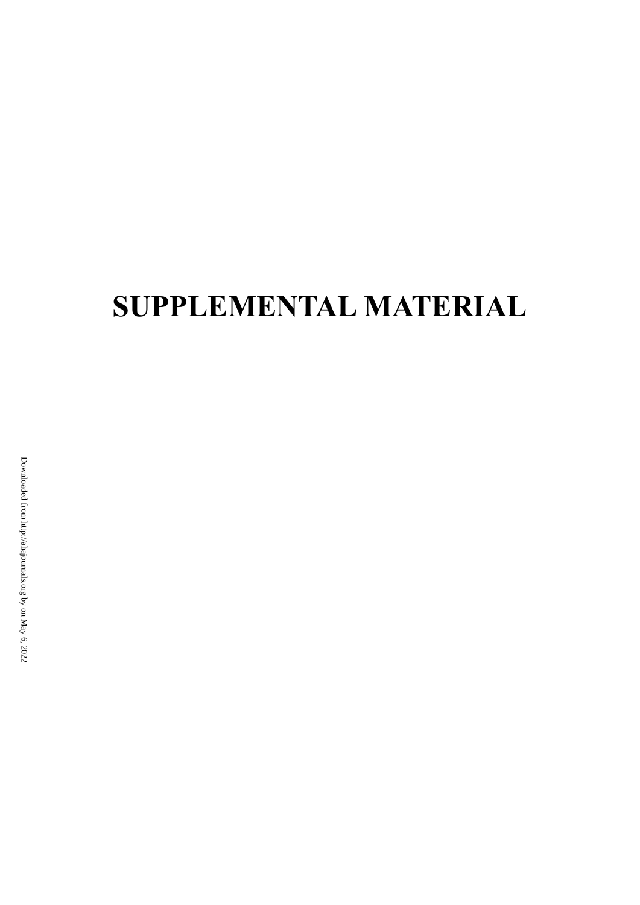# **SUPPLEMENTAL MATERIAL**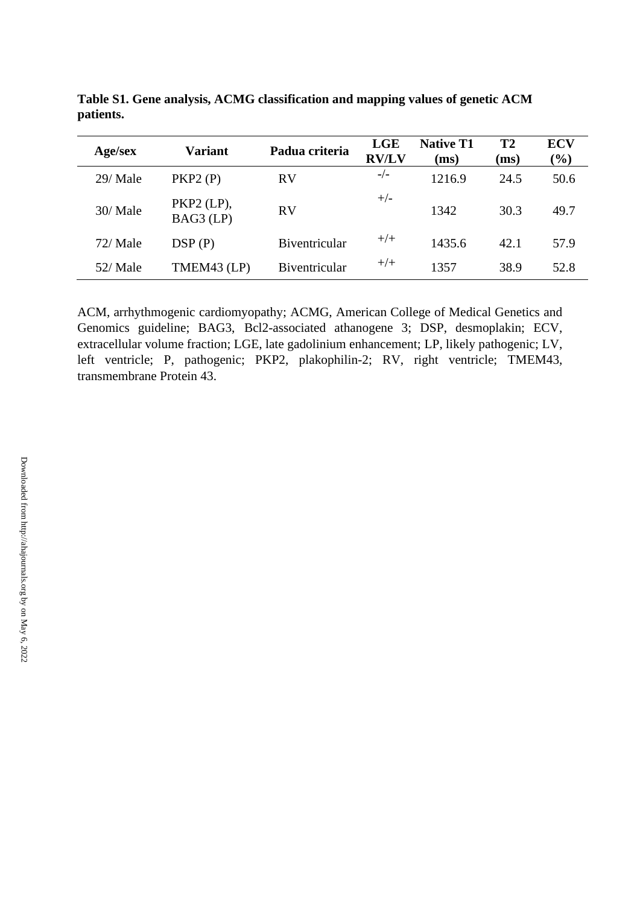| Age/sex  | <b>Variant</b>            | Padua criteria | <b>LGE</b><br><b>RV/LV</b> | <b>Native T1</b><br>(ms) | T <sub>2</sub><br>(ms) | <b>ECV</b><br>$(\%)$ |
|----------|---------------------------|----------------|----------------------------|--------------------------|------------------------|----------------------|
| 29/ Male | PKP2(P)                   | <b>RV</b>      | $-/-$                      | 1216.9                   | 24.5                   | 50.6                 |
| 30/Male  | $PKP2$ (LP),<br>BAG3 (LP) | <b>RV</b>      | $+/-$                      | 1342                     | 30.3                   | 49.7                 |
| 72/Male  | DSP(P)                    | Biventricular  | $+/+$                      | 1435.6                   | 42.1                   | 57.9                 |
| 52/Male  | TMEM43 (LP)               | Biventricular  | $+/+$                      | 1357                     | 38.9                   | 52.8                 |

**Table S1. Gene analysis, ACMG classification and mapping values of genetic ACM patients.**

ACM, arrhythmogenic cardiomyopathy; ACMG, American College of Medical Genetics and Genomics guideline; BAG3, Bcl2-associated athanogene 3; DSP, desmoplakin; ECV, extracellular volume fraction; LGE, late gadolinium enhancement; LP, likely pathogenic; LV, left ventricle; P, pathogenic; PKP2, plakophilin-2; RV, right ventricle; TMEM43, transmembrane Protein 43.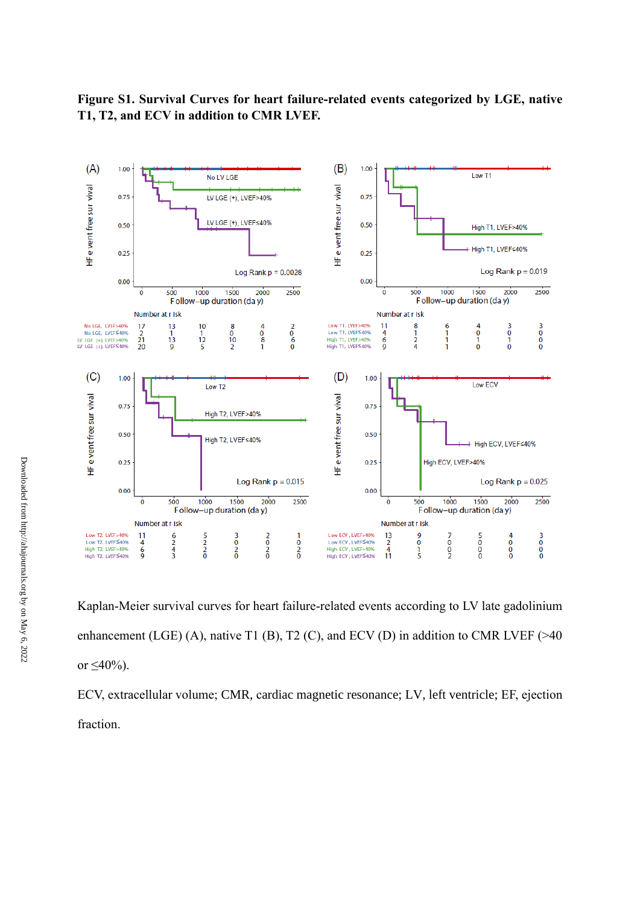

**Figure S1. Survival Curves for heart failure-related events categorized by LGE, native T1, T2, and ECV in addition to CMR LVEF.**

Kaplan-Meier survival curves for heart failure-related events according to LV late gadolinium enhancement (LGE) (A), native T1 (B), T2 (C), and ECV (D) in addition to CMR LVEF ( $>40$ or  $\leq 40\%$ ).

ECV, extracellular volume; CMR, cardiac magnetic resonance; LV, left ventricle; EF, ejection fraction.